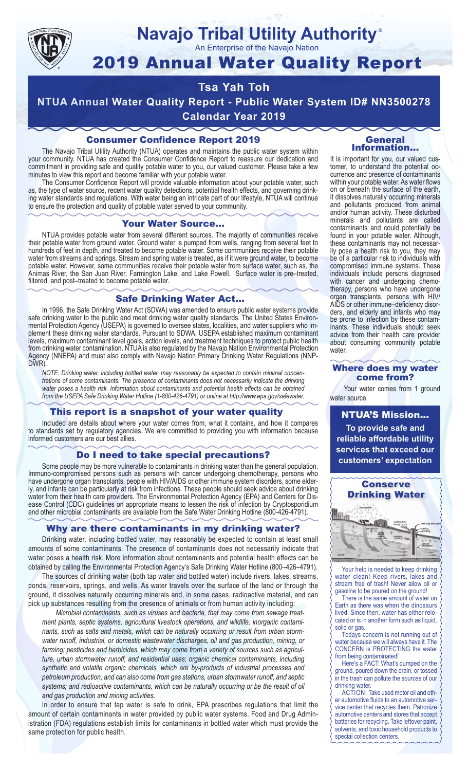

#### **Navajo Tribal Utility Authority** ®

An Enterprise of the Navajo Nation

# 2019 Annual Water Quality Report

# **Tsa Yah Toh**

**NTUA Annual Water Quality Report - Public Water System ID# NN3500278 Calendar Year 2019**

### Consumer Confidence Report 2019

The Navajo Tribal Utility Authority (NTUA) operates and maintains the public water system within your community. NTUA has created the Consumer Confidence Report to reassure our dedication and commitment in providing safe and quality potable water to you, our valued customer. Please take a few minutes to view this report and become familiar with your potable water.

The Consumer Confidence Report will provide valuable information about your potable water, such as, the type of water source, recent water quality detections, potential health effects, and governing drinking water standards and regulations. With water being an intricate part of our lifestyle, NTUA will continue to ensure the protection and quality of potable water served to your community.

#### Your Water Source…

NTUA provides potable water from several different sources. The majority of communities receive their potable water from ground water. Ground water is pumped from wells, ranging from several feet to hundreds of feet in depth, and treated to become potable water. Some communities receive their potable water from streams and springs. Stream and spring water is treated, as if it were ground water, to become potable water. However, some communities receive their potable water from surface water, such as, the Animas River, the San Juan River, Farmington Lake, and Lake Powell. Surface water is pre–treated, filtered, and post–treated to become potable water.

#### Safe Drinking Water Act…

In 1996, the Safe Drinking Water Act (SDWA) was amended to ensure public water systems provide safe drinking water to the public and meet drinking water quality standards. The United States Environmental Protection Agency (USEPA) is governed to oversee states, localities, and water suppliers who implement these drinking water standards. Pursuant to SDWA, USEPA established maximum contaminant levels, maximum contaminant level goals, action levels, and treatment techniques to protect public health from drinking water contamination. NTUA is also regulated by the Navajo Nation Environmental Protection Agency (NNEPA) and must also comply with Navajo Nation Primary Drinking Water Regulations (NNP-DWR)

*NOTE: Drinking water, including bottled water, may reasonably be expected to contain minimal concentrations of some contaminants. The presence of contaminants does not necessarily indicate the drinking water poses a health risk. Information about contaminants and potential health effects can be obtained from the USEPA Safe Drinking Water Hotline (1-800-426-4791) or online at http://www.epa.gov/safewater.*

#### This report is a snapshot of your water quality

Included are details about where your water comes from, what it contains, and how it compares to standards set by regulatory agencies. We are committed to providing you with information because informed customers are our best allies.

#### Do I need to take special precautions?

Some people may be more vulnerable to contaminants in drinking water than the general population. Immuno-compromised persons such as persons with cancer undergoing chemotherapy, persons who have undergone organ transplants, people with HIV/AIDS or other immune system disorders, some elderly, and infants can be particularly at risk from infections. These people should seek advice about drinking water from their health care providers. The Environmental Protection Agency (EPA) and Centers for Disease Control (CDC) guidelines on appropriate means to lessen the risk of infection by Cryptosporidium and other microbial contaminants are available from the Safe Water Drinking Hotline (800-426-4791).

#### Why are there contaminants in my drinking water?

Drinking water, including bottled water, may reasonably be expected to contain at least small amounts of some contaminants. The presence of contaminants does not necessarily indicate that water poses a health risk. More information about contaminants and potential health effects can be obtained by calling the Environmental Protection Agency's Safe Drinking Water Hotline (800–426–4791).

The sources of drinking water (both tap water and bottled water) include rivers, lakes, streams, ponds, reservoirs, springs, and wells. As water travels over the surface of the land or through the ground, it dissolves naturally occurring minerals and, in some cases, radioactive material, and can pick up substances resulting from the presence of animals or from human activity including:

*Microbial contaminants, such as viruses and bacteria, that may come from sewage treatment plants, septic systems, agricultural livestock operations, and wildlife; inorganic contaminants, such as salts and metals, which can be naturally occurring or result from urban stormwater runoff, industrial, or domestic wastewater discharges, oil and gas production, mining, or farming; pesticides and herbicides, which may come from a variety of sources such as agriculture, urban stormwater runoff, and residential uses; organic chemical contaminants, including synthetic and volatile organic chemicals, which are by-products of industrial processes and petroleum production, and can also come from gas stations, urban stormwater runoff, and septic systems; and radioactive contaminants, which can be naturally occurring or be the result of oil and gas production and mining activities.*

In order to ensure that tap water is safe to drink, EPA prescribes regulations that limit the amount of certain contaminants in water provided by public water systems. Food and Drug Administration (FDA) regulations establish limits for contaminants in bottled water which must provide the same protection for public health.

#### General Information…

It is important for you, our valued customer, to understand the potential occurrence and presence of contaminants within your potable water. As water flows on or beneath the surface of the earth, it dissolves naturally occurring minerals and pollutants produced from animal and/or human activity. These disturbed minerals and pollutants are called contaminants and could potentially be found in your potable water. Although, these contaminants may not necessarily pose a health risk to you, they may be of a particular risk to individuals with compromised immune systems. These individuals include persons diagnosed with cancer and undergoing chemo-<br>therapy, persons who have undergone organ transplants, persons with HIV/ AIDS or other immune–deficiency disor- ders, and elderly and infants who may be prone to infection by these contam- inants. These individuals should seek advice from their health care provider about consuming community potable water.

#### Where does my water come from?

Your water comes from 1 ground water source.

NTUA'S Mission... **To provide safe and reliable affordable utility services that exceed our customers' expectation**



Your help is needed to keep drinking water clean! Keep rivers, lakes and stream free of trash! Never allow oil or gasoline to be poured on the ground!

There is the same amount of water on Earth as there was when the dinosaurs lived. Since then, water has either relocated or is in another form such as liquid, solid or gas.

Todays concern is not running out of water because we will always have it. The CONCERN is PROTECTING the water from being contaminated!

Here's a FACT: What's dumped on the ground, poured down the drain, or tossed in the trash can pollute the sources of our drinking water.

ACTION: Take used motor oil and other automotive fluids to an automotive service center that recycles them. Patronize automotive centers and stores that accept batteries for recycling. Take leftover paint, solvents, and toxic household products to special collection centers.